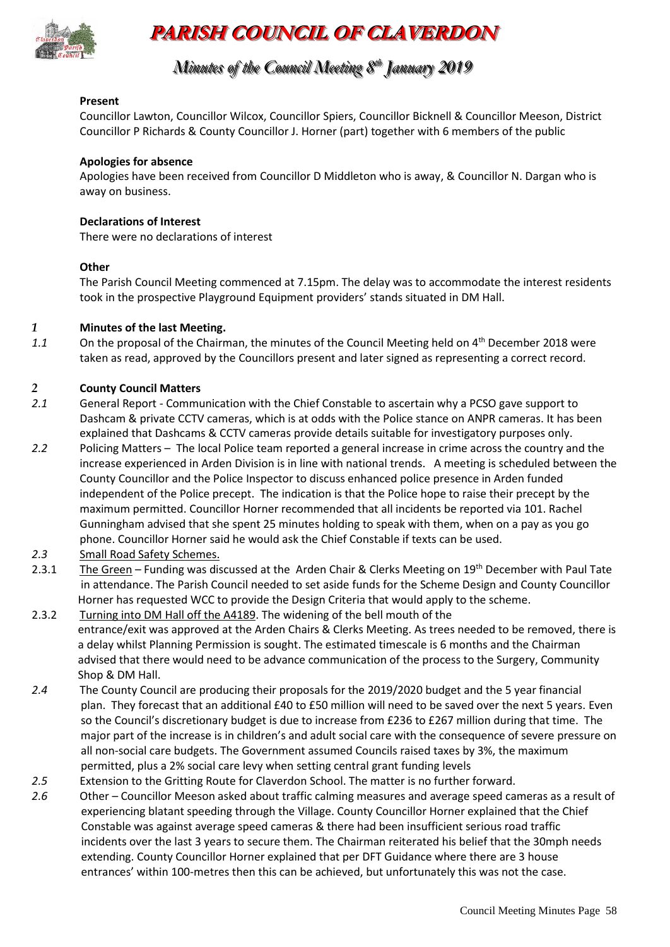

# **PARISH COUNCIL OF CLAVERDON**

## *Minutes of the Council Meeting 8 t thh January 2019*

#### **Present**

Councillor Lawton, Councillor Wilcox, Councillor Spiers, Councillor Bicknell & Councillor Meeson, District Councillor P Richards & County Councillor J. Horner (part) together with 6 members of the public

#### **Apologies for absence**

Apologies have been received from Councillor D Middleton who is away, & Councillor N. Dargan who is away on business.

#### **Declarations of Interest**

There were no declarations of interest

#### **Other**

The Parish Council Meeting commenced at 7.15pm. The delay was to accommodate the interest residents took in the prospective Playground Equipment providers' stands situated in DM Hall.

#### *1* **Minutes of the last Meeting.**

1.1 On the proposal of the Chairman, the minutes of the Council Meeting held on 4<sup>th</sup> December 2018 were taken as read, approved by the Councillors present and later signed as representing a correct record.

#### *2* **County Council Matters**

- *2.1* General Report Communication with the Chief Constable to ascertain why a PCSO gave support to Dashcam & private CCTV cameras, which is at odds with the Police stance on ANPR cameras. It has been explained that Dashcams & CCTV cameras provide details suitable for investigatory purposes only.
- *2.2* Policing Matters The local Police team reported a general increase in crime across the country and the increase experienced in Arden Division is in line with national trends. A meeting is scheduled between the County Councillor and the Police Inspector to discuss enhanced police presence in Arden funded independent of the Police precept. The indication is that the Police hope to raise their precept by the maximum permitted. Councillor Horner recommended that all incidents be reported via 101. Rachel Gunningham advised that she spent 25 minutes holding to speak with them, when on a pay as you go phone. Councillor Horner said he would ask the Chief Constable if texts can be used.
- *2.3* Small Road Safety Schemes.
- 2.3.1 The Green Funding was discussed at the Arden Chair & Clerks Meeting on 19<sup>th</sup> December with Paul Tate in attendance. The Parish Council needed to set aside funds for the Scheme Design and County Councillor Horner has requested WCC to provide the Design Criteria that would apply to the scheme.
- 2.3.2 Turning into DM Hall off the A4189. The widening of the bell mouth of the entrance/exit was approved at the Arden Chairs & Clerks Meeting. As trees needed to be removed, there is a delay whilst Planning Permission is sought. The estimated timescale is 6 months and the Chairman advised that there would need to be advance communication of the process to the Surgery, Community Shop & DM Hall.
- *2.4* The County Council are producing their proposals for the 2019/2020 budget and the 5 year financial plan. They forecast that an additional £40 to £50 million will need to be saved over the next 5 years. Even so the Council's discretionary budget is due to increase from £236 to £267 million during that time. The major part of the increase is in children's and adult social care with the consequence of severe pressure on all non-social care budgets. The Government assumed Councils raised taxes by 3%, the maximum permitted, plus a 2% social care levy when setting central grant funding levels
- *2.5* Extension to the Gritting Route for Claverdon School. The matter is no further forward.
- *2.6* Other Councillor Meeson asked about traffic calming measures and average speed cameras as a result of experiencing blatant speeding through the Village. County Councillor Horner explained that the Chief Constable was against average speed cameras & there had been insufficient serious road traffic incidents over the last 3 years to secure them. The Chairman reiterated his belief that the 30mph needs extending. County Councillor Horner explained that per DFT Guidance where there are 3 house entrances' within 100-metres then this can be achieved, but unfortunately this was not the case.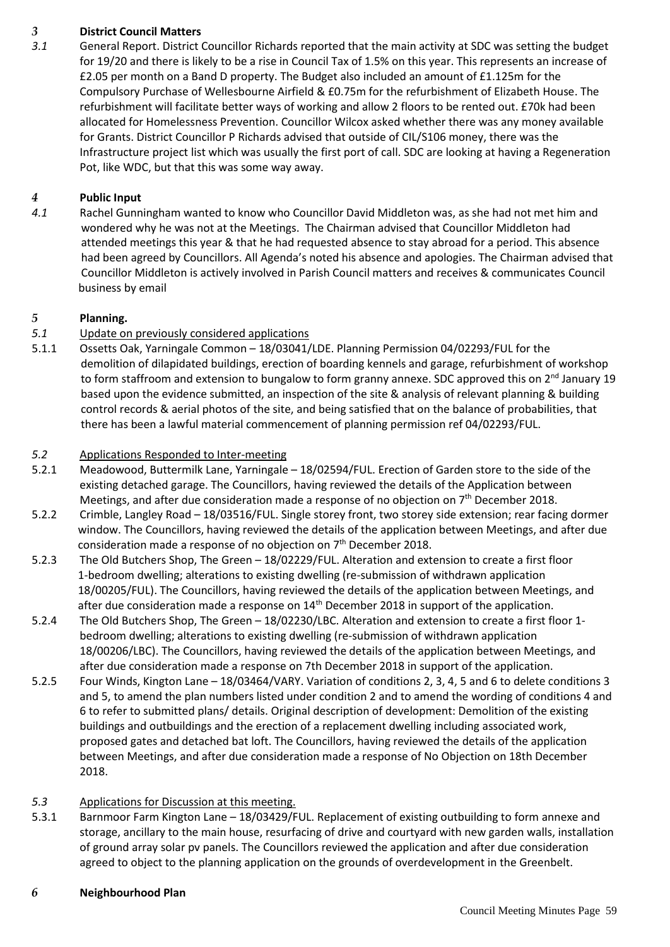## *3* **District Council Matters**

*3.1* General Report. District Councillor Richards reported that the main activity at SDC was setting the budget for 19/20 and there is likely to be a rise in Council Tax of 1.5% on this year. This represents an increase of £2.05 per month on a Band D property. The Budget also included an amount of £1.125m for the Compulsory Purchase of Wellesbourne Airfield & £0.75m for the refurbishment of Elizabeth House. The refurbishment will facilitate better ways of working and allow 2 floors to be rented out. £70k had been allocated for Homelessness Prevention. Councillor Wilcox asked whether there was any money available for Grants. District Councillor P Richards advised that outside of CIL/S106 money, there was the Infrastructure project list which was usually the first port of call. SDC are looking at having a Regeneration Pot, like WDC, but that this was some way away.

## *4* **Public Input**

*4.1* Rachel Gunningham wanted to know who Councillor David Middleton was, as she had not met him and wondered why he was not at the Meetings. The Chairman advised that Councillor Middleton had attended meetings this year & that he had requested absence to stay abroad for a period. This absence had been agreed by Councillors. All Agenda's noted his absence and apologies. The Chairman advised that Councillor Middleton is actively involved in Parish Council matters and receives & communicates Council business by email

#### *5* **Planning.**

- *5.1* Update on previously considered applications
- 5.1.1 Ossetts Oak, Yarningale Common 18/03041/LDE. Planning Permission 04/02293/FUL for the demolition of dilapidated buildings, erection of boarding kennels and garage, refurbishment of workshop to form staffroom and extension to bungalow to form granny annexe. SDC approved this on  $2^{nd}$  January 19 based upon the evidence submitted, an inspection of the site & analysis of relevant planning & building control records & aerial photos of the site, and being satisfied that on the balance of probabilities, that there has been a lawful material commencement of planning permission ref 04/02293/FUL.

#### *5.2* Applications Responded to Inter-meeting

- 5.2.1 Meadowood, Buttermilk Lane, Yarningale 18/02594/FUL. Erection of Garden store to the side of the existing detached garage. The Councillors, having reviewed the details of the Application between Meetings, and after due consideration made a response of no objection on 7th December 2018.
- 5.2.2 Crimble, Langley Road 18/03516/FUL. Single storey front, two storey side extension; rear facing dormer window. The Councillors, having reviewed the details of the application between Meetings, and after due consideration made a response of no objection on  $7<sup>th</sup>$  December 2018.
- 5.2.3 The Old Butchers Shop, The Green 18/02229/FUL. Alteration and extension to create a first floor 1-bedroom dwelling; alterations to existing dwelling (re-submission of withdrawn application 18/00205/FUL). The Councillors, having reviewed the details of the application between Meetings, and after due consideration made a response on  $14<sup>th</sup>$  December 2018 in support of the application.
- 5.2.4 The Old Butchers Shop, The Green 18/02230/LBC. Alteration and extension to create a first floor 1 bedroom dwelling; alterations to existing dwelling (re-submission of withdrawn application 18/00206/LBC). The Councillors, having reviewed the details of the application between Meetings, and after due consideration made a response on 7th December 2018 in support of the application.
- 5.2.5 Four Winds, Kington Lane 18/03464/VARY. Variation of conditions 2, 3, 4, 5 and 6 to delete conditions 3 and 5, to amend the plan numbers listed under condition 2 and to amend the wording of conditions 4 and 6 to refer to submitted plans/ details. Original description of development: Demolition of the existing buildings and outbuildings and the erection of a replacement dwelling including associated work, proposed gates and detached bat loft. The Councillors, having reviewed the details of the application between Meetings, and after due consideration made a response of No Objection on 18th December 2018.

#### *5.3* Applications for Discussion at this meeting.

5.3.1 Barnmoor Farm Kington Lane – 18/03429/FUL. Replacement of existing outbuilding to form annexe and storage, ancillary to the main house, resurfacing of drive and courtyard with new garden walls, installation of ground array solar pv panels. The Councillors reviewed the application and after due consideration agreed to object to the planning application on the grounds of overdevelopment in the Greenbelt.

#### *6* **Neighbourhood Plan**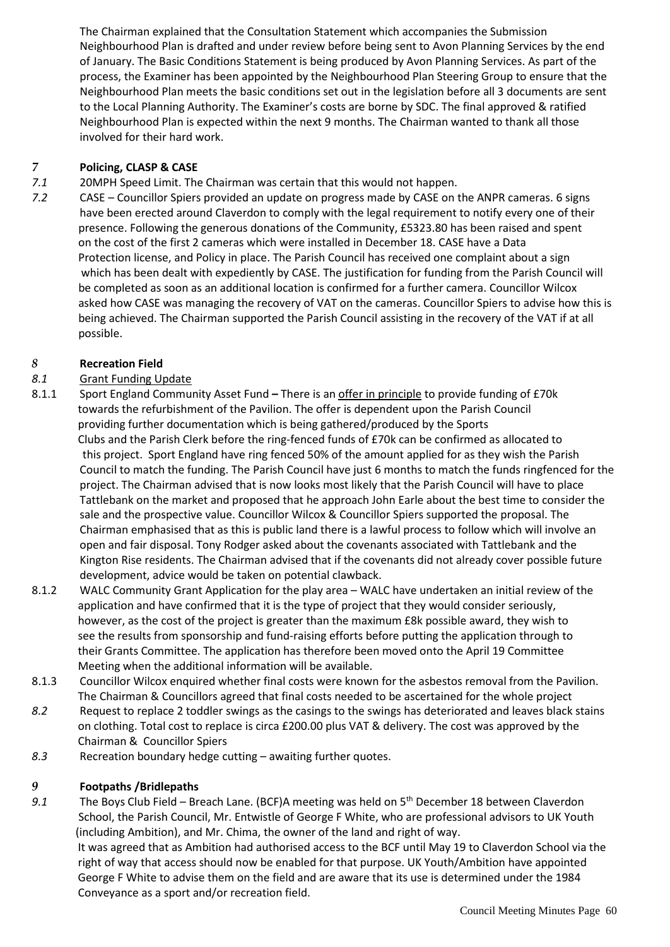The Chairman explained that the Consultation Statement which accompanies the Submission Neighbourhood Plan is drafted and under review before being sent to Avon Planning Services by the end of January. The Basic Conditions Statement is being produced by Avon Planning Services. As part of the process, the Examiner has been appointed by the Neighbourhood Plan Steering Group to ensure that the Neighbourhood Plan meets the basic conditions set out in the legislation before all 3 documents are sent to the Local Planning Authority. The Examiner's costs are borne by SDC. The final approved & ratified Neighbourhood Plan is expected within the next 9 months. The Chairman wanted to thank all those involved for their hard work.

## *7* **Policing, CLASP & CASE**

- *7.1* 20MPH Speed Limit. The Chairman was certain that this would not happen.
- *7.2* CASE Councillor Spiers provided an update on progress made by CASE on the ANPR cameras. 6 signs have been erected around Claverdon to comply with the legal requirement to notify every one of their presence. Following the generous donations of the Community, £5323.80 has been raised and spent on the cost of the first 2 cameras which were installed in December 18. CASE have a Data Protection license, and Policy in place. The Parish Council has received one complaint about a sign which has been dealt with expediently by CASE. The justification for funding from the Parish Council will be completed as soon as an additional location is confirmed for a further camera. Councillor Wilcox asked how CASE was managing the recovery of VAT on the cameras. Councillor Spiers to advise how this is being achieved. The Chairman supported the Parish Council assisting in the recovery of the VAT if at all possible.

## *8* **Recreation Field**

## *8.1* Grant Funding Update

- 8.1.1 Sport England Community Asset Fund **–** There is an offer in principle to provide funding of £70k towards the refurbishment of the Pavilion. The offer is dependent upon the Parish Council providing further documentation which is being gathered/produced by the Sports Clubs and the Parish Clerk before the ring-fenced funds of £70k can be confirmed as allocated to this project. Sport England have ring fenced 50% of the amount applied for as they wish the Parish Council to match the funding. The Parish Council have just 6 months to match the funds ringfenced for the project. The Chairman advised that is now looks most likely that the Parish Council will have to place Tattlebank on the market and proposed that he approach John Earle about the best time to consider the sale and the prospective value. Councillor Wilcox & Councillor Spiers supported the proposal. The Chairman emphasised that as this is public land there is a lawful process to follow which will involve an open and fair disposal. Tony Rodger asked about the covenants associated with Tattlebank and the Kington Rise residents. The Chairman advised that if the covenants did not already cover possible future development, advice would be taken on potential clawback.
- 8.1.2 WALC Community Grant Application for the play area WALC have undertaken an initial review of the application and have confirmed that it is the type of project that they would consider seriously, however, as the cost of the project is greater than the maximum £8k possible award, they wish to see the results from sponsorship and fund-raising efforts before putting the application through to their Grants Committee. The application has therefore been moved onto the April 19 Committee Meeting when the additional information will be available.
- 8.1.3 Councillor Wilcox enquired whether final costs were known for the asbestos removal from the Pavilion. The Chairman & Councillors agreed that final costs needed to be ascertained for the whole project
- *8.2* Request to replace 2 toddler swings as the casings to the swings has deteriorated and leaves black stains on clothing. Total cost to replace is circa £200.00 plus VAT & delivery. The cost was approved by the Chairman & Councillor Spiers
- *8.3* Recreation boundary hedge cutting awaiting further quotes.

## *9* **Footpaths /Bridlepaths**

9.1 The Boys Club Field – Breach Lane. (BCF)A meeting was held on 5<sup>th</sup> December 18 between Claverdon School, the Parish Council, Mr. Entwistle of George F White, who are professional advisors to UK Youth (including Ambition), and Mr. Chima, the owner of the land and right of way.

 It was agreed that as Ambition had authorised access to the BCF until May 19 to Claverdon School via the right of way that access should now be enabled for that purpose. UK Youth/Ambition have appointed George F White to advise them on the field and are aware that its use is determined under the 1984 Conveyance as a sport and/or recreation field.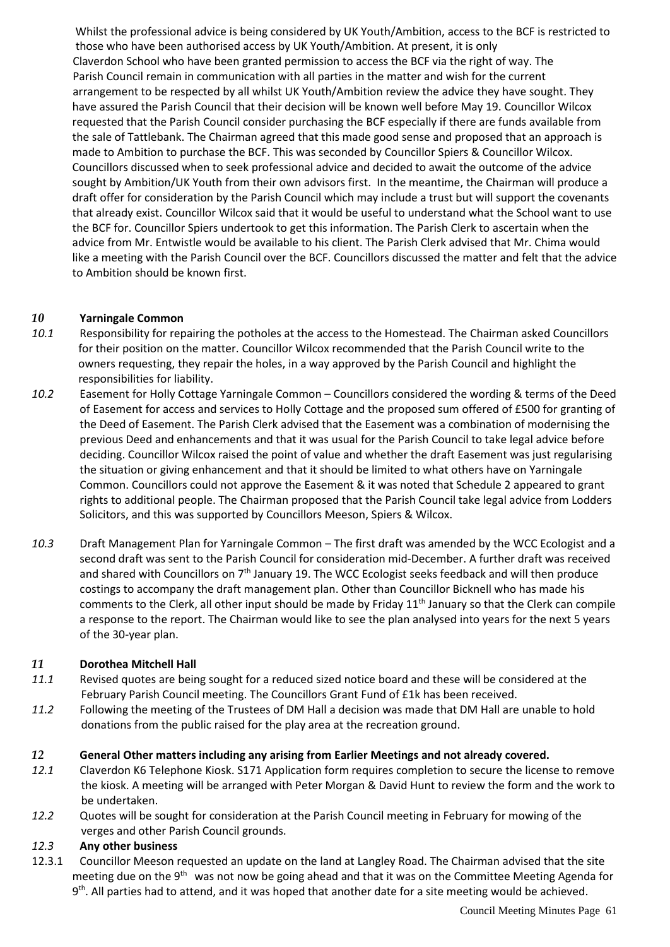Whilst the professional advice is being considered by UK Youth/Ambition, access to the BCF is restricted to those who have been authorised access by UK Youth/Ambition. At present, it is only Claverdon School who have been granted permission to access the BCF via the right of way. The Parish Council remain in communication with all parties in the matter and wish for the current arrangement to be respected by all whilst UK Youth/Ambition review the advice they have sought. They have assured the Parish Council that their decision will be known well before May 19. Councillor Wilcox requested that the Parish Council consider purchasing the BCF especially if there are funds available from the sale of Tattlebank. The Chairman agreed that this made good sense and proposed that an approach is made to Ambition to purchase the BCF. This was seconded by Councillor Spiers & Councillor Wilcox. Councillors discussed when to seek professional advice and decided to await the outcome of the advice sought by Ambition/UK Youth from their own advisors first. In the meantime, the Chairman will produce a draft offer for consideration by the Parish Council which may include a trust but will support the covenants that already exist. Councillor Wilcox said that it would be useful to understand what the School want to use the BCF for. Councillor Spiers undertook to get this information. The Parish Clerk to ascertain when the advice from Mr. Entwistle would be available to his client. The Parish Clerk advised that Mr. Chima would like a meeting with the Parish Council over the BCF. Councillors discussed the matter and felt that the advice to Ambition should be known first.

## *10* **Yarningale Common**

- *10.1* Responsibility for repairing the potholes at the access to the Homestead. The Chairman asked Councillors for their position on the matter. Councillor Wilcox recommended that the Parish Council write to the owners requesting, they repair the holes, in a way approved by the Parish Council and highlight the responsibilities for liability.
- *10.2* Easement for Holly Cottage Yarningale Common Councillors considered the wording & terms of the Deed of Easement for access and services to Holly Cottage and the proposed sum offered of £500 for granting of the Deed of Easement. The Parish Clerk advised that the Easement was a combination of modernising the previous Deed and enhancements and that it was usual for the Parish Council to take legal advice before deciding. Councillor Wilcox raised the point of value and whether the draft Easement was just regularising the situation or giving enhancement and that it should be limited to what others have on Yarningale Common. Councillors could not approve the Easement & it was noted that Schedule 2 appeared to grant rights to additional people. The Chairman proposed that the Parish Council take legal advice from Lodders Solicitors, and this was supported by Councillors Meeson, Spiers & Wilcox.
- *10.3* Draft Management Plan for Yarningale Common The first draft was amended by the WCC Ecologist and a second draft was sent to the Parish Council for consideration mid-December. A further draft was received and shared with Councillors on 7<sup>th</sup> January 19. The WCC Ecologist seeks feedback and will then produce costings to accompany the draft management plan. Other than Councillor Bicknell who has made his comments to the Clerk, all other input should be made by Friday  $11<sup>th</sup>$  January so that the Clerk can compile a response to the report. The Chairman would like to see the plan analysed into years for the next 5 years of the 30-year plan.

## *11* **Dorothea Mitchell Hall**

- *11.1* Revised quotes are being sought for a reduced sized notice board and these will be considered at the February Parish Council meeting. The Councillors Grant Fund of £1k has been received.
- *11.2* Following the meeting of the Trustees of DM Hall a decision was made that DM Hall are unable to hold donations from the public raised for the play area at the recreation ground.

## *12* **General Other matters including any arising from Earlier Meetings and not already covered.**

- *12.1* Claverdon K6 Telephone Kiosk. S171 Application form requires completion to secure the license to remove the kiosk. A meeting will be arranged with Peter Morgan & David Hunt to review the form and the work to be undertaken.
- *12.2* Quotes will be sought for consideration at the Parish Council meeting in February for mowing of the verges and other Parish Council grounds.

#### *12.3* **Any other business**

12.3.1 Councillor Meeson requested an update on the land at Langley Road. The Chairman advised that the site meeting due on the 9<sup>th</sup> was not now be going ahead and that it was on the Committee Meeting Agenda for 9<sup>th</sup>. All parties had to attend, and it was hoped that another date for a site meeting would be achieved.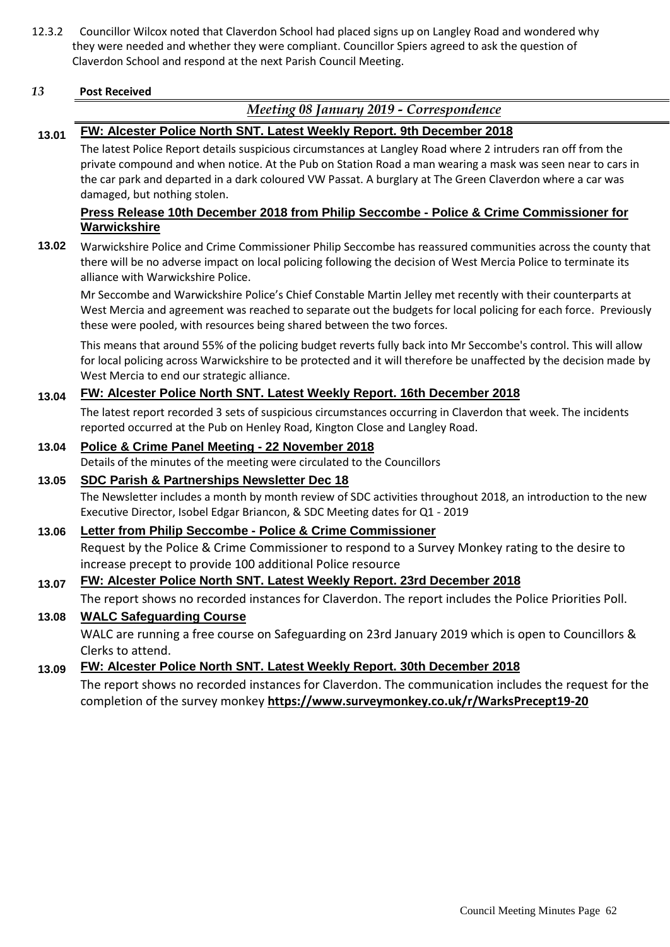12.3.2 Councillor Wilcox noted that Claverdon School had placed signs up on Langley Road and wondered why they were needed and whether they were compliant. Councillor Spiers agreed to ask the question of Claverdon School and respond at the next Parish Council Meeting.

#### *13* **Post Received**

## *Meeting 08 January 2019 - Correspondence*

## **13.01 FW: Alcester Police North SNT. Latest Weekly Report. 9th December 2018**

The latest Police Report details suspicious circumstances at Langley Road where 2 intruders ran off from the private compound and when notice. At the Pub on Station Road a man wearing a mask was seen near to cars in the car park and departed in a dark coloured VW Passat. A burglary at The Green Claverdon where a car was damaged, but nothing stolen.

#### **Press Release 10th December 2018 from Philip Seccombe - Police & Crime Commissioner for Warwickshire**

**13.02** Warwickshire Police and Crime Commissioner Philip Seccombe has reassured communities across the county that there will be no adverse impact on local policing following the decision of West Mercia Police to terminate its alliance with Warwickshire Police.

Mr Seccombe and Warwickshire Police's Chief Constable Martin Jelley met recently with their counterparts at West Mercia and agreement was reached to separate out the budgets for local policing for each force. Previously these were pooled, with resources being shared between the two forces.

This means that around 55% of the policing budget reverts fully back into Mr Seccombe's control. This will allow for local policing across Warwickshire to be protected and it will therefore be unaffected by the decision made by West Mercia to end our strategic alliance.

## **13.04 FW: Alcester Police North SNT. Latest Weekly Report. 16th December 2018**

The latest report recorded 3 sets of suspicious circumstances occurring in Claverdon that week. The incidents reported occurred at the Pub on Henley Road, Kington Close and Langley Road.

#### **13.04 Police & Crime Panel Meeting - 22 November 2018**

Details of the minutes of the meeting were circulated to the Councillors

#### **13.05 SDC Parish & Partnerships Newsletter Dec 18**

The Newsletter includes a month by month review of SDC activities throughout 2018, an introduction to the new Executive Director, Isobel Edgar Briancon, & SDC Meeting dates for Q1 - 2019

## **13.06 Letter from Philip Seccombe - Police & Crime Commissioner**

Request by the Police & Crime Commissioner to respond to a Survey Monkey rating to the desire to increase precept to provide 100 additional Police resource

## **13.07 FW: Alcester Police North SNT. Latest Weekly Report. 23rd December 2018**

The report shows no recorded instances for Claverdon. The report includes the Police Priorities Poll.

#### **13.08 WALC Safeguarding Course**

WALC are running a free course on Safeguarding on 23rd January 2019 which is open to Councillors & Clerks to attend.

## **13.09 FW: Alcester Police North SNT. Latest Weekly Report. 30th December 2018**

The report shows no recorded instances for Claverdon. The communication includes the request for the completion of the survey monkey **https://www.surveymonkey.co.uk/r/WarksPrecept19-20**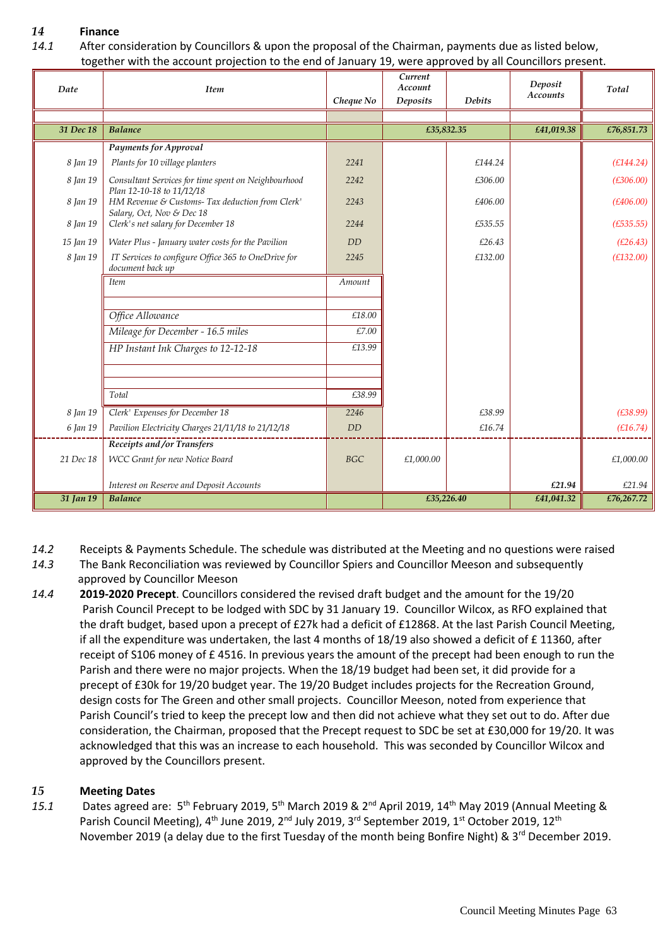## *14* **Finance**

*14.1* After consideration by Councillors & upon the proposal of the Chairman, payments due as listed below, together with the account projection to the end of January 19, were approved by all Councillors present.

| Date      | <b>Item</b>                                                                      |            | Current<br>Account |               | Deposit         | Total      |
|-----------|----------------------------------------------------------------------------------|------------|--------------------|---------------|-----------------|------------|
|           |                                                                                  | Cheque No  | <b>Deposits</b>    | <b>Debits</b> | <b>Accounts</b> |            |
|           |                                                                                  |            |                    |               |                 |            |
| 31 Dec 18 | <b>Balance</b>                                                                   |            |                    | £35,832.35    | £41,019.38      | £76,851.73 |
|           | <b>Payments for Approval</b>                                                     |            |                    |               |                 |            |
| 8 Jan 19  | Plants for 10 village planters                                                   | 2241       |                    | £144.24       |                 | (E144.24)  |
| 8 Jan 19  | Consultant Services for time spent on Neighbourhood<br>Plan 12-10-18 to 11/12/18 | 2242       |                    | £306.00       |                 | (E306.00)  |
| 8 Jan 19  | HM Revenue & Customs- Tax deduction from Clerk'<br>Salary, Oct, Nov & Dec 18     | 2243       |                    | £406.00       |                 | (E406.00)  |
| 8 Jan 19  | Clerk's net salary for December 18                                               | 2244       |                    | £535.55       |                 | (E535.55)  |
| 15 Jan 19 | Water Plus - January water costs for the Pavilion                                | DD         |                    | £26.43        |                 | (E26.43)   |
| 8 Jan 19  | IT Services to configure Office 365 to OneDrive for<br>document back up          | 2245       |                    | £132.00       |                 | (E132.00)  |
|           | <b>Item</b>                                                                      | Amount     |                    |               |                 |            |
|           |                                                                                  |            |                    |               |                 |            |
|           | Office Allowance                                                                 | £18.00     |                    |               |                 |            |
|           | Mileage for December - 16.5 miles                                                | £7.00      |                    |               |                 |            |
|           | HP Instant Ink Charges to 12-12-18                                               | £13.99     |                    |               |                 |            |
|           |                                                                                  |            |                    |               |                 |            |
|           |                                                                                  |            |                    |               |                 |            |
|           | Total                                                                            | £38.99     |                    |               |                 |            |
| 8 Jan 19  | Clerk' Expenses for December 18                                                  | 2246       |                    | £38.99        |                 | (E38.99)   |
| 6 Jan 19  | Pavilion Electricity Charges 21/11/18 to 21/12/18                                | <b>DD</b>  |                    | £16.74        |                 | (E16.74)   |
|           | Receipts and/or Transfers                                                        |            |                    |               |                 |            |
| 21 Dec 18 | WCC Grant for new Notice Board                                                   | <b>BGC</b> | £1,000.00          |               |                 | £1,000.00  |
|           | Interest on Reserve and Deposit Accounts                                         |            |                    |               | £21.94          | £21.94     |
| 31 Jan 19 | <b>Balance</b>                                                                   |            |                    | £35,226.40    | £41,041.32      | £76,267.72 |

- *14.2* Receipts & Payments Schedule. The schedule was distributed at the Meeting and no questions were raised
- *14.3* The Bank Reconciliation was reviewed by Councillor Spiers and Councillor Meeson and subsequently approved by Councillor Meeson
- *14.4* **2019-2020 Precept**. Councillors considered the revised draft budget and the amount for the 19/20 Parish Council Precept to be lodged with SDC by 31 January 19. Councillor Wilcox, as RFO explained that the draft budget, based upon a precept of £27k had a deficit of £12868. At the last Parish Council Meeting, if all the expenditure was undertaken, the last 4 months of  $18/19$  also showed a deficit of £ 11360, after receipt of S106 money of £4516. In previous years the amount of the precept had been enough to run the Parish and there were no major projects. When the 18/19 budget had been set, it did provide for a precept of £30k for 19/20 budget year. The 19/20 Budget includes projects for the Recreation Ground, design costs for The Green and other small projects. Councillor Meeson, noted from experience that Parish Council's tried to keep the precept low and then did not achieve what they set out to do. After due consideration, the Chairman, proposed that the Precept request to SDC be set at £30,000 for 19/20. It was acknowledged that this was an increase to each household. This was seconded by Councillor Wilcox and approved by the Councillors present.

## *15* **Meeting Dates**

15.1 Dates agreed are: 5<sup>th</sup> February 2019, 5<sup>th</sup> March 2019 & 2<sup>nd</sup> April 2019, 14<sup>th</sup> May 2019 (Annual Meeting & Parish Council Meeting), 4<sup>th</sup> June 2019, 2<sup>nd</sup> July 2019, 3<sup>rd</sup> September 2019, 1<sup>st</sup> October 2019, 12<sup>th</sup> November 2019 (a delay due to the first Tuesday of the month being Bonfire Night) & 3<sup>rd</sup> December 2019.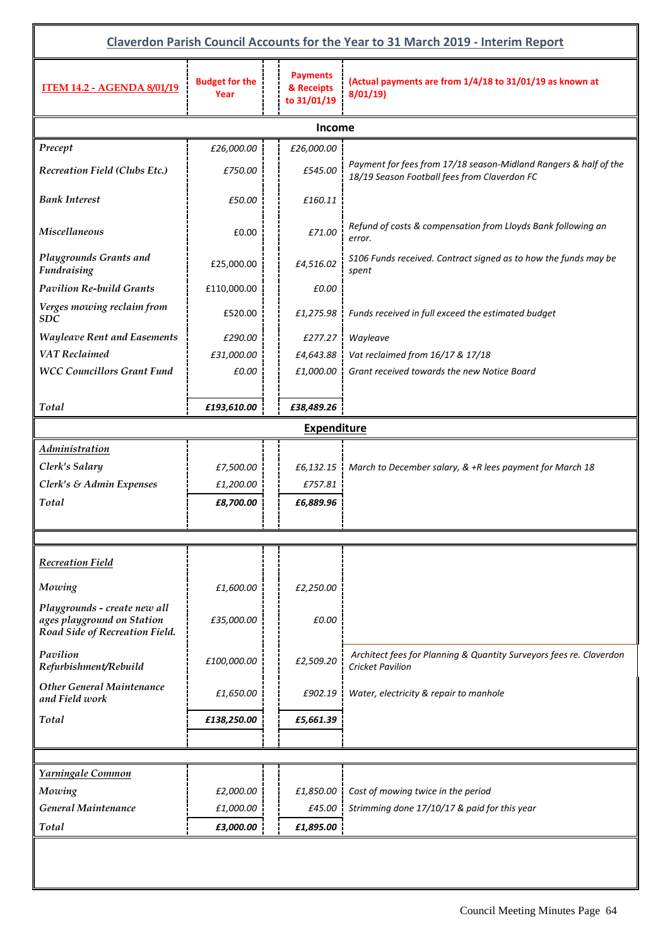| Claverdon Parish Council Accounts for the Year to 31 March 2019 - Interim Report             |                               |                                              |                                                                                                                  |  |  |
|----------------------------------------------------------------------------------------------|-------------------------------|----------------------------------------------|------------------------------------------------------------------------------------------------------------------|--|--|
| <b>ITEM 14.2 - AGENDA 8/01/19</b>                                                            | <b>Budget for the</b><br>Year | <b>Payments</b><br>& Receipts<br>to 31/01/19 | (Actual payments are from 1/4/18 to 31/01/19 as known at<br>8/01/19                                              |  |  |
|                                                                                              |                               | Income                                       |                                                                                                                  |  |  |
| Precept                                                                                      | £26,000.00                    | £26,000.00                                   |                                                                                                                  |  |  |
| <b>Recreation Field (Clubs Etc.)</b>                                                         | £750.00                       | £545.00                                      | Payment for fees from 17/18 season-Midland Rangers & half of the<br>18/19 Season Football fees from Claverdon FC |  |  |
| <b>Bank Interest</b>                                                                         | £50.00                        | £160.11                                      |                                                                                                                  |  |  |
| <b>Miscellaneous</b>                                                                         | £0.00                         | £71.00                                       | Refund of costs & compensation from Lloyds Bank following an<br>error.                                           |  |  |
| Playgrounds Grants and<br><b>Fundraising</b>                                                 | £25,000.00                    | £4,516.02                                    | S106 Funds received. Contract signed as to how the funds may be<br>spent                                         |  |  |
| <b>Pavilion Re-build Grants</b>                                                              | £110,000.00                   | £0.00                                        |                                                                                                                  |  |  |
| Verges mowing reclaim from<br><b>SDC</b>                                                     | £520.00                       | £1,275.98                                    | Funds received in full exceed the estimated budget                                                               |  |  |
| <b>Wayleave Rent and Easements</b>                                                           | £290.00                       | £277.27                                      | Wayleave                                                                                                         |  |  |
| <b>VAT</b> Reclaimed                                                                         | £31,000.00                    | £4,643.88                                    | Vat reclaimed from 16/17 & 17/18                                                                                 |  |  |
| <b>WCC Councillors Grant Fund</b>                                                            | £0.00                         | £1,000.00                                    | Grant received towards the new Notice Board                                                                      |  |  |
| Total                                                                                        | £193,610.00                   | £38,489.26                                   |                                                                                                                  |  |  |
|                                                                                              |                               | <b>Expenditure</b>                           |                                                                                                                  |  |  |
| <b>Administration</b>                                                                        |                               |                                              |                                                                                                                  |  |  |
| Clerk's Salary                                                                               | £7,500.00                     | £6,132.15                                    | March to December salary, & +R lees payment for March 18                                                         |  |  |
| Clerk's & Admin Expenses                                                                     | £1,200.00                     | £757.81                                      |                                                                                                                  |  |  |
| Total                                                                                        | £8,700.00                     | £6,889.96                                    |                                                                                                                  |  |  |
|                                                                                              |                               |                                              |                                                                                                                  |  |  |
| <b>Recreation Field</b>                                                                      |                               |                                              |                                                                                                                  |  |  |
| Mowing                                                                                       | £1,600.00                     | £2,250.00                                    |                                                                                                                  |  |  |
| Playgrounds - create new all<br>ages playground on Station<br>Road Side of Recreation Field. | £35,000.00                    | £0.00                                        |                                                                                                                  |  |  |
| Pavilion<br>Refurbishment/Rebuild                                                            | £100,000.00                   | £2,509.20                                    | Architect fees for Planning & Quantity Surveyors fees re. Claverdon<br><b>Cricket Pavilion</b>                   |  |  |
| <b>Other General Maintenance</b><br>and Field work                                           | £1,650.00                     | £902.19                                      | Water, electricity & repair to manhole                                                                           |  |  |
| Total                                                                                        | £138,250.00                   | £5,661.39                                    |                                                                                                                  |  |  |
|                                                                                              |                               |                                              |                                                                                                                  |  |  |
| Yarningale Common                                                                            |                               |                                              |                                                                                                                  |  |  |
| Mowing                                                                                       | £2,000.00                     | £1,850.00                                    | Cost of mowing twice in the period                                                                               |  |  |
| General Maintenance                                                                          | £1,000.00                     | £45.00                                       | Strimming done 17/10/17 & paid for this year                                                                     |  |  |
| Total                                                                                        | £3,000.00                     | £1,895.00                                    |                                                                                                                  |  |  |
|                                                                                              |                               |                                              |                                                                                                                  |  |  |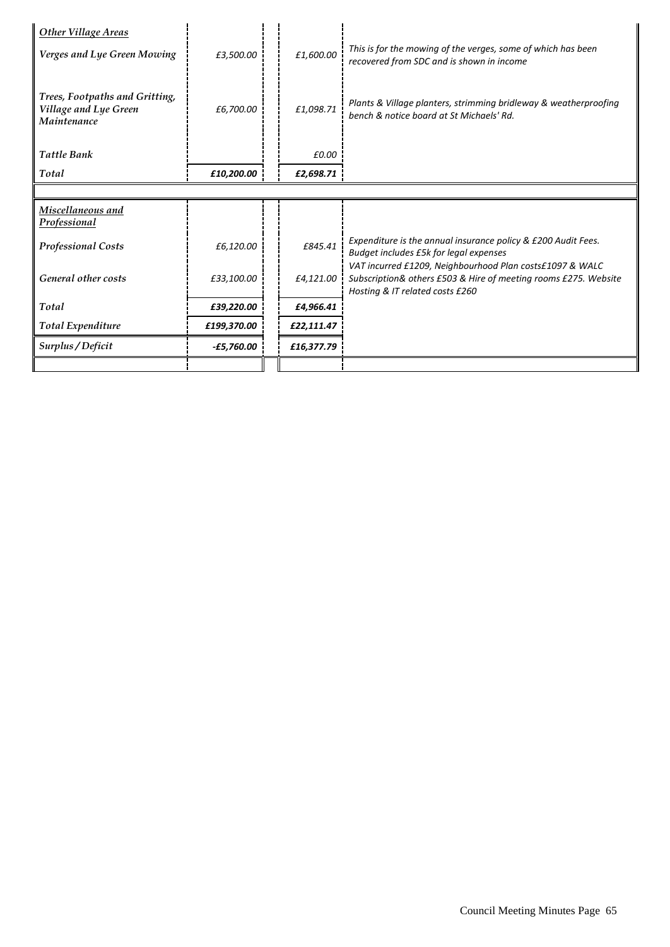| Other Village Areas                                                           |              |            |                                                                                                                                                                |
|-------------------------------------------------------------------------------|--------------|------------|----------------------------------------------------------------------------------------------------------------------------------------------------------------|
| Verges and Lye Green Mowing                                                   | £3,500.00    | £1,600.00  | This is for the mowing of the verges, some of which has been<br>recovered from SDC and is shown in income                                                      |
| Trees, Footpaths and Gritting,<br>Village and Lye Green<br><b>Maintenance</b> | £6,700.00    | £1,098.71  | Plants & Village planters, strimming bridleway & weatherproofing<br>bench & notice board at St Michaels' Rd.                                                   |
| <b>Tattle Bank</b>                                                            |              | £0.00      |                                                                                                                                                                |
| Total                                                                         | £10,200.00   | £2,698.71  |                                                                                                                                                                |
|                                                                               |              |            |                                                                                                                                                                |
|                                                                               |              |            |                                                                                                                                                                |
| Miscellaneous and<br><b>Professional</b>                                      |              |            |                                                                                                                                                                |
| <b>Professional Costs</b>                                                     | £6,120.00    | £845.41    | Expenditure is the annual insurance policy & £200 Audit Fees.<br>Budget includes £5k for legal expenses                                                        |
| General other costs                                                           | £33,100.00   | £4,121.00  | VAT incurred £1209, Neighbourhood Plan costs£1097 & WALC<br>Subscription& others £503 & Hire of meeting rooms £275. Website<br>Hosting & IT related costs £260 |
| Total                                                                         | £39,220.00   | £4,966.41  |                                                                                                                                                                |
| <b>Total Expenditure</b>                                                      | £199,370.00  | £22,111.47 |                                                                                                                                                                |
| Surplus / Deficit                                                             | $-£5,760.00$ | £16,377.79 |                                                                                                                                                                |